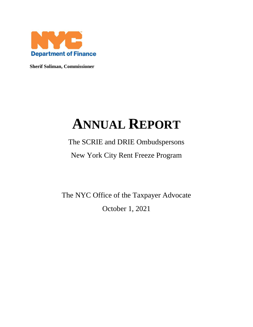

**Sherif Soliman, Commissioner**

# **ANNUAL REPORT**

# The SCRIE and DRIE Ombudspersons New York City Rent Freeze Program

The NYC Office of the Taxpayer Advocate October 1, 2021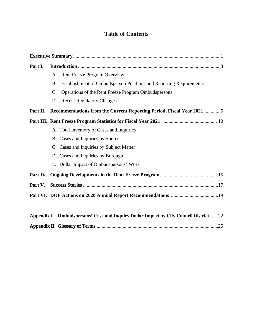# **Table of Contents**

| Part I.  |                 |                                                                                      |
|----------|-----------------|--------------------------------------------------------------------------------------|
|          | A.              | <b>Rent Freeze Program Overview</b>                                                  |
|          | <b>B.</b>       | Establishment of Ombudsperson Positions and Reporting Requirements                   |
|          | $\mathcal{C}$ . | Operations of the Rent Freeze Program Ombudspersons                                  |
|          | D.              | <b>Recent Regulatory Changes</b>                                                     |
| Part II. |                 | Recommendations from the Current Reporting Period, Fiscal Year 20215                 |
|          |                 |                                                                                      |
|          |                 | A. Total Inventory of Cases and Inquiries                                            |
|          |                 | B. Cases and Inquiries by Source                                                     |
|          |                 | C. Cases and Inquiries by Subject Matter                                             |
|          |                 | D. Cases and Inquiries by Borough                                                    |
|          |                 | E. Dollar Impact of Ombudspersons' Work                                              |
|          |                 |                                                                                      |
|          |                 |                                                                                      |
|          |                 |                                                                                      |
|          |                 |                                                                                      |
|          |                 | Appendix I Ombudspersons' Case and Inquiry Dollar Impact by City Council District 22 |
|          |                 |                                                                                      |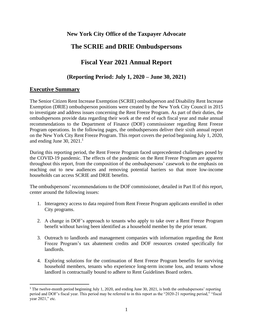# **New York City Office of the Taxpayer Advocate**

# **The SCRIE and DRIE Ombudspersons**

# **Fiscal Year 2021 Annual Report**

# **(Reporting Period: July 1, 2020 – June 30, 2021)**

# **Executive Summary**

The Senior Citizen Rent Increase Exemption (SCRIE) ombudsperson and Disability Rent Increase Exemption (DRIE) ombudsperson positions were created by the New York City Council in 2015 to investigate and address issues concerning the Rent Freeze Program. As part of their duties, the ombudspersons provide data regarding their work at the end of each fiscal year and make annual recommendations to the Department of Finance (DOF) commissioner regarding Rent Freeze Program operations. In the following pages, the ombudspersons deliver their sixth annual report on the New York City Rent Freeze Program. This report covers the period beginning July 1, 2020, and ending June 30,  $2021<sup>1</sup>$ 

During this reporting period, the Rent Freeze Program faced unprecedented challenges posed by the COVID-19 pandemic. The effects of the pandemic on the Rent Freeze Program are apparent throughout this report, from the composition of the ombudspersons' casework to the emphasis on reaching out to new audiences and removing potential barriers so that more low-income households can access SCRIE and DRIE benefits.

The ombudspersons' recommendations to the DOF commissioner, detailed in Part II of this report, center around the following issues:

- 1. Interagency access to data required from Rent Freeze Program applicants enrolled in other City programs.
- 2. A change in DOF's approach to tenants who apply to take over a Rent Freeze Program benefit without having been identified as a household member by the prior tenant.
- 3. Outreach to landlords and management companies with information regarding the Rent Freeze Program's tax abatement credits and DOF resources created specifically for landlords.
- 4. Exploring solutions for the continuation of Rent Freeze Program benefits for surviving household members, tenants who experience long-term income loss, and tenants whose landlord is contractually bound to adhere to Rent Guidelines Board orders.

<sup>&</sup>lt;sup>1</sup> The twelve-month period beginning July 1, 2020, and ending June 30, 2021, is both the ombudspersons' reporting period and DOF's fiscal year. This period may be referred to in this report as the "2020-21 reporting period," "fiscal year 2021," etc.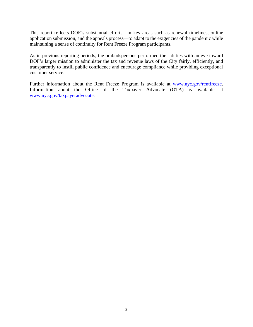This report reflects DOF's substantial efforts—in key areas such as renewal timelines, online application submission, and the appeals process—to adapt to the exigencies of the pandemic while maintaining a sense of continuity for Rent Freeze Program participants.

As in previous reporting periods, the ombudspersons performed their duties with an eye toward DOF's larger mission to administer the tax and revenue laws of the City fairly, efficiently, and transparently to instill public confidence and encourage compliance while providing exceptional customer service.

Further information about the Rent Freeze Program is available at [www.nyc.gov/rentfreeze.](http://www.nyc.gov/rentfreeze) Information about the Office of the Taxpayer Advocate (OTA) is available at [www.nyc.gov/taxpayeradvocate.](http://www.nyc.gov/taxpayeradvocate)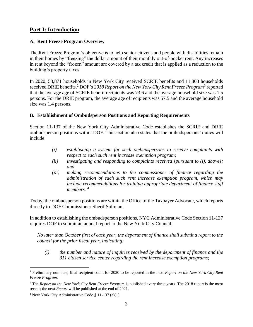# **Part I: Introduction**

# **A. Rent Freeze Program Overview**

The Rent Freeze Program's objective is to help senior citizens and people with disabilities remain in their homes by "freezing" the dollar amount of their monthly out-of-pocket rent. Any increases in rent beyond the "frozen" amount are covered by a tax credit that is applied as a reduction to the building's property taxes.

In 2020, 53,871 households in New York City received SCRIE benefits and 11,803 households received DRIE benefits.<sup>2</sup> DOF's 2018 Report on the New York City Rent Freeze Program<sup>3</sup> reported that the average age of SCRIE benefit recipients was 73.6 and the average household size was 1.5 persons. For the DRIE program, the average age of recipients was 57.5 and the average household size was 1.4 persons.

# **B. Establishment of Ombudsperson Positions and Reporting Requirements**

Section 11-137 of the New York City Administrative Code establishes the SCRIE and DRIE ombudsperson positions within DOF. This section also states that the ombudspersons' duties will include:

- *(i) establishing a system for such ombudspersons to receive complaints with respect to each such rent increase exemption program;*
- *(ii) investigating and responding to complaints received [pursuant to (i), above]; and*
- *(iii) making recommendations to the commissioner of finance regarding the administration of each such rent increase exemption program, which may include recommendations for training appropriate department of finance staff members.* <sup>4</sup>

Today, the ombudsperson positions are within the Office of the Taxpayer Advocate, which reports directly to DOF Commissioner Sherif Soliman.

In addition to establishing the ombudsperson positions, NYC Administrative Code Section 11-137 requires DOF to submit an annual report to the New York City Council:

*No later than October first of each year, the department of finance shall submit a report to the council for the prior fiscal year, indicating:*

*(i) the number and nature of inquiries received by the department of finance and the 311 citizen service center regarding the rent increase exemption programs;*

<sup>2</sup> Preliminary numbers; final recipient count for 2020 to be reported in the next *Report on the New York City Rent Freeze Program.*

<sup>&</sup>lt;sup>3</sup> The *Report on the New York City Rent Freeze Program* is published every three years. The 2018 report is the most recent; the next *Report* will be published at the end of 2021.

<sup>4</sup> New York City Administrative Code § 11-137 (a)(1).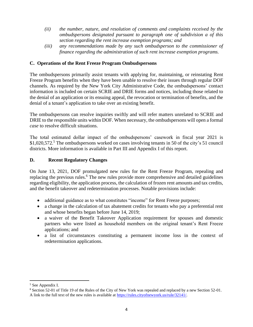- *(ii) the number, nature, and resolution of comments and complaints received by the ombudspersons designated pursuant to paragraph one of subdivision a of this section regarding the rent increase exemption programs; and*
- *(iii) any recommendations made by any such ombudsperson to the commissioner of finance regarding the administration of such rent increase exemption programs.*

# **C. Operations of the Rent Freeze Program Ombudspersons**

The ombudspersons primarily assist tenants with applying for, maintaining, or reinstating Rent Freeze Program benefits when they have been unable to resolve their issues through regular DOF channels. As required by the New York City Administrative Code, the ombudspersons' contact information is included on certain SCRIE and DRIE forms and notices, including those related to the denial of an application or its ensuing appeal, the revocation or termination of benefits, and the denial of a tenant's application to take over an existing benefit.

The ombudspersons can resolve inquiries swiftly and will refer matters unrelated to SCRIE and DRIE to the responsible units within DOF. When necessary, the ombudspersons will open a formal *case* to resolve difficult situations.

The total estimated dollar impact of the ombudspersons' casework in fiscal year 2021 is \$1,020,572.<sup>5</sup> The ombudspersons worked on cases involving tenants in 50 of the city's 51 council districts. More information is available in Part III and Appendix I of this report.

# **D. Recent Regulatory Changes**

On June 13, 2021, DOF promulgated new rules for the Rent Freeze Program, repealing and replacing the previous rules.<sup>6</sup> The new rules provide more comprehensive and detailed guidelines regarding eligibility, the application process, the calculation of frozen rent amounts and tax credits, and the benefit takeover and redetermination processes. Notable provisions include:

- additional guidance as to what constitutes "income" for Rent Freeze purposes;
- a change in the calculation of tax abatement credits for tenants who pay a preferential rent and whose benefits began before June 14, 2019;
- a waiver of the Benefit Takeover Application requirement for spouses and domestic partners who were listed as household members on the original tenant's Rent Freeze applications; and
- a list of circumstances constituting a permanent income loss in the context of redetermination applications.

<sup>5</sup> See Appendix I.

<sup>6</sup> Section 52-01 of Title 19 of the Rules of the City of New York was repealed and replaced by a new Section 52-01. A link to the full text of the new rules is available at [https://rules.cityofnewyork.us/rule/32141/.](https://rules.cityofnewyork.us/rule/32141/)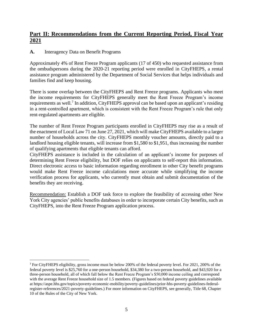# **Part II: Recommendations from the Current Reporting Period, Fiscal Year 2021**

# **A.** Interagency Data on Benefit Programs

Approximately 4% of Rent Freeze Program applicants (17 of 450) who requested assistance from the ombudspersons during the 2020-21 reporting period were enrolled in CityFHEPS, a rental assistance program administered by the Department of Social Services that helps individuals and families find and keep housing.

There is some overlap between the CityFHEPS and Rent Freeze programs. Applicants who meet the income requirements for CityFHEPS generally meet the Rent Freeze Program's income requirements as well.<sup>7</sup> In addition, CityFHEPS approval can be based upon an applicant's residing in a rent-controlled apartment, which is consistent with the Rent Freeze Program's rule that only rent-regulated apartments are eligible.

The number of Rent Freeze Program participants enrolled in CityFHEPS may rise as a result of the enactment of Local Law 71 on June 27, 2021, which will make CityFHEPS available to a larger number of households across the city. CityFHEPS monthly voucher amounts, directly paid to a landlord housing eligible tenants, will increase from \$1,580 to \$1,951, thus increasing the number of qualifying apartments that eligible tenants can afford.

CityFHEPS assistance is included in the calculation of an applicant's income for purposes of determining Rent Freeze eligibility, but DOF relies on applicants to self-report this information. Direct electronic access to basic information regarding enrollment in other City benefit programs would make Rent Freeze income calculations more accurate while simplifying the income verification process for applicants, who currently must obtain and submit documentation of the benefits they are receiving.

Recommendation: Establish a DOF task force to explore the feasibility of accessing other New York City agencies' public benefits databases in order to incorporate certain City benefits, such as CityFHEPS, into the Rent Freeze Program application process.

<sup>7</sup> For CityFHEPS eligibility, gross income must be below 200% of the federal poverty level. For 2021, 200% of the federal poverty level is \$25,760 for a one-person household, \$34,380 for a two-person household, and \$43,920 for a three-person household, all of which fall below the Rent Freeze Program's \$50,000 income ceiling and correspond with the average Rent Freeze household size of 1.5 members. (Figures based on federal poverty guidelines available at https://aspe.hhs.gov/topics/poverty-economic-mobility/poverty-guidelines/prior-hhs-poverty-guidelines-federalregister-references/2021-poverty-guidelines.) For more information on CityFHEPS, see generally, Title 68, Chapter 10 of the Rules of the City of New York.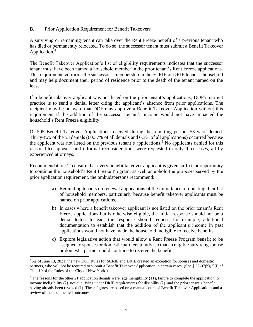# **B.** Prior Application Requirement for Benefit Takeovers

A surviving or remaining tenant can take over the Rent Freeze benefit of a previous tenant who has died or permanently relocated. To do so, the successor tenant must submit a Benefit Takeover Application.<sup>8</sup>

The Benefit Takeover Application's list of eligibility requirements indicates that the successor tenant must have been named a household member in the prior tenant's Rent Freeze applications. This requirement confirms the successor's membership in the SCRIE or DRIE tenant's household and may help document their period of residence prior to the death of the tenant named on the lease.

If a benefit takeover applicant was not listed on the prior tenant's applications, DOF's current practice is to send a denial letter citing the applicant's absence from prior applications. The recipient may be unaware that DOF may approve a Benefit Takeover Application without this requirement if the addition of the successor tenant's income would not have impacted the household's Rent Freeze eligibility.

Of 505 Benefit Takeover Applications received during the reporting period, 53 were denied. Thirty-two of the 53 denials (60.37% of all denials and 6.3% of all applications) occurred because the applicant was not listed on the previous tenant's applications.<sup>9</sup> No applicants denied for this reason filed appeals, and informal reconsiderations were requested in only three cases, all by experienced attorneys.

Recommendation: To ensure that every benefit takeover applicant is given sufficient opportunity to continue the household's Rent Freeze Program, as well as uphold the purposes served by the prior application requirement, the ombudspersons recommend:

- a) Reminding tenants on renewal applications of the importance of updating their list of household members, particularly because benefit takeover applicants must be named on prior applications.
- b) In cases where a benefit takeover applicant is not listed on the prior tenant's Rent Freeze applications but is otherwise eligible, the initial response should not be a denial letter. Instead, the response should request, for example, additional documentation to establish that the addition of the applicant's income in past applications would not have made the household ineligible to receive benefits.
- c) Explore legislative action that would allow a Rent Freeze Program benefit to be assigned to spouses or domestic partners jointly, so that an eligible surviving spouse or domestic partner could continue to receive the benefit.

<sup>&</sup>lt;sup>8</sup> As of June 13, 2021, the new DOF Rules for SCRIE and DRIE created an exception for spouses and domestic partners, who will not be required to submit a Benefit Takeover Application in certain cases. (See § 52-07(b)(2)(i) of Title 19 of the Rules of the City of New York.)

<sup>&</sup>lt;sup>9</sup> The reasons for the other 21 application denials were: age ineligibility (11), failure to complete the application (5), income ineligibility (2), not qualifying under DRIE requirements for disability (2), and the prior tenant's benefit having already been revoked (1). These figures are based on a manual count of Benefit Takeover Applications and a review of the documented outcomes.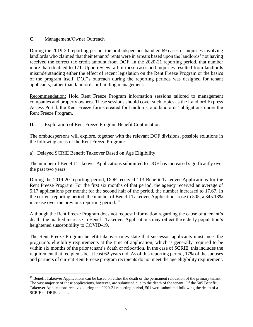# **C.** Management/Owner Outreach

During the 2019-20 reporting period, the ombudspersons handled 69 cases or inquiries involving landlords who claimed that their tenants' rents were in arrears based upon the landlords' not having received the correct tax credit amount from DOF. In the 2020-21 reporting period, that number more than doubled to 171. Upon review, all of these cases and inquiries resulted from landlords misunderstanding either the effect of recent legislation on the Rent Freeze Program or the basics of the program itself. DOF's outreach during the reporting periods was designed for tenant applicants, rather than landlords or building management.

Recommendation: Hold Rent Freeze Program information sessions tailored to management companies and property owners. These sessions should cover such topics as the Landlord Express Access Portal, the Rent Freeze forms created for landlords, and landlords' obligations under the Rent Freeze Program.

**D.** Exploration of Rent Freeze Program Benefit Continuation

The ombudspersons will explore, together with the relevant DOF divisions, possible solutions in the following areas of the Rent Freeze Program:

a) Delayed SCRIE Benefit Takeover Based on Age Eligibility

The number of Benefit Takeover Applications submitted to DOF has increased significantly over the past two years.

During the 2019-20 reporting period, DOF received 113 Benefit Takeover Applications for the Rent Freeze Program. For the first six months of that period, the agency received an average of 5.17 applications per month; for the second half of the period, the number increased to 17.67. In the current reporting period, the number of Benefit Takeover Applications rose to 505, a 345.13% increase over the previous reporting period.<sup>10</sup>

Although the Rent Freeze Program does not request information regarding the cause of a tenant's death, the marked increase in Benefit Takeover Applications may reflect the elderly population's heightened susceptibility to COVID-19.

The Rent Freeze Program benefit takeover rules state that successor applicants must meet the program's eligibility requirements at the time of application, which is generally required to be within six months of the prior tenant's death or relocation. In the case of SCRIE, this includes the requirement that recipients be at least 62 years old. As of this reporting period, 17% of the spouses and partners of current Rent Freeze program recipients do not meet the age eligibility requirement.

 $10$  Benefit Takeover Applications can be based on either the death or the permanent relocation of the primary tenant. The vast majority of these applications, however, are submitted due to the death of the tenant. Of the 505 Benefit Takeover Applications received during the 2020-21 reporting period, 501 were submitted following the death of a SCRIE or DRIE tenant.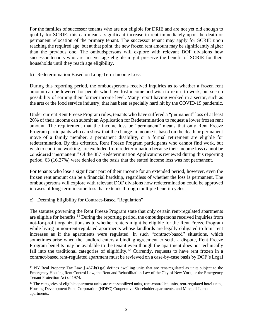For the families of successor tenants who are not eligible for DRIE and are not yet old enough to qualify for SCRIE, this can mean a significant increase in rent immediately upon the death or permanent relocation of the primary tenant. The successor tenant may apply for SCRIE upon reaching the required age, but at that point, the new frozen rent amount may be significantly higher than the previous one. The ombudspersons will explore with relevant DOF divisions how successor tenants who are not yet age eligible might preserve the benefit of SCRIE for their households until they reach age eligibility.

# b) Redetermination Based on Long-Term Income Loss

During this reporting period, the ombudspersons received inquiries as to whether a frozen rent amount can be lowered for people who have lost income and wish to return to work, but see no possibility of earning their former income level. Many report having worked in a sector, such as the arts or the food service industry, that has been especially hard hit by the COVID-19 pandemic.

Under current Rent Freeze Program rules, tenants who have suffered a "permanent" loss of at least 20% of their income can submit an Application for Redetermination to request a lower frozen rent amount. The requirement that the income loss be "permanent" means that only Rent Freeze Program participants who can show that the change in income is based on the death or permanent move of a family member, a permanent disability, or a formal retirement are eligible for redetermination. By this criterion, Rent Freeze Program participants who cannot find work, but wish to continue working, are excluded from redetermination because their income loss cannot be considered "permanent." Of the 387 Redetermination Applications reviewed during this reporting period, 63 (16.27%) were denied on the basis that the stated income loss was not permanent.

For tenants who lose a significant part of their income for an extended period, however, even the frozen rent amount can be a financial hardship, regardless of whether the loss is permanent. The ombudspersons will explore with relevant DOF divisions how redetermination could be approved in cases of long-term income loss that extends through multiple benefit cycles.

c) Deeming Eligibility for Contract-Based "Regulation"

The statutes governing the Rent Freeze Program state that only certain rent-regulated apartments are eligible for benefits.<sup>11</sup> During the reporting period, the ombudspersons received inquiries from not-for-profit organizations as to whether renters might be eligible for the Rent Freeze Program while living in non-rent-regulated apartments whose landlords are legally obligated to limit rent increases as if the apartments were regulated. In such "contract-based" situations, which sometimes arise when the landlord enters a binding agreement to settle a dispute, Rent Freeze Program benefits may be available to the tenant even though the apartment does not technically fall into the traditional categories of eligibility.<sup>12</sup> Currently, requests to have rent frozen in a contract-based rent-regulated apartment must be reviewed on a case-by-case basis by DOF's Legal

<sup>&</sup>lt;sup>11</sup> NY Real Property Tax Law § 467-b(1)(a) defines dwelling units that are rent-regulated as units subject to the Emergency Housing Rent Control Law, the Rent and Rehabilitation Law of the City of New York, or the Emergency Tenant Protection Act of 1974.

 $12$  The categories of eligible apartment units are rent-stabilized units, rent-controlled units, rent-regulated hotel units, Housing Development Fund Corporation (HDFC) Cooperative Shareholder apartments, and Mitchell-Lama apartments.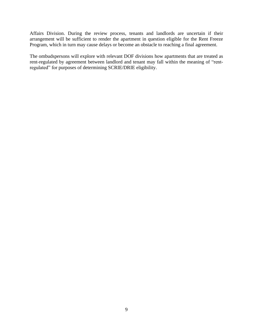Affairs Division. During the review process, tenants and landlords are uncertain if their arrangement will be sufficient to render the apartment in question eligible for the Rent Freeze Program, which in turn may cause delays or become an obstacle to reaching a final agreement.

The ombudspersons will explore with relevant DOF divisions how apartments that are treated as rent-regulated by agreement between landlord and tenant may fall within the meaning of "rentregulated" for purposes of determining SCRIE/DRIE eligibility.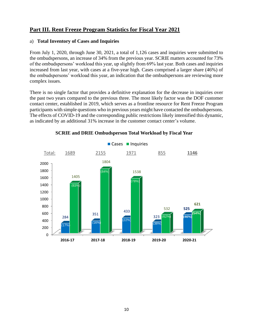# **Part III. Rent Freeze Program Statistics for Fiscal Year 2021**

# a) **Total Inventory of Cases and Inquiries**

From July 1, 2020, through June 30, 2021, a total of 1,126 cases and inquiries were submitted to the ombudspersons, an increase of 34% from the previous year. SCRIE matters accounted for 73% of the ombudspersons' workload this year, up slightly from 69% last year. Both cases and inquiries increased from last year, with cases at a five-year high. Cases comprised a larger share (46%) of the ombudspersons' workload this year, an indication that the ombudspersons are reviewing more complex issues.

There is no single factor that provides a definitive explanation for the decrease in inquiries over the past two years compared to the previous three. The most likely factor was the DOF customer contact center, established in 2019, which serves as a frontline resource for Rent Freeze Program participants with simple questions who in previous years might have contacted the ombudspersons. The effects of COVID-19 and the corresponding public restrictions likely intensified this dynamic, as indicated by an additional 31% increase in the customer contact center's volume.



# **SCRIE and DRIE Ombudsperson Total Workload by Fiscal Year**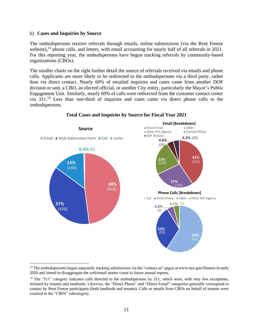#### b) **Cases and Inquiries by Source**

The ombudspersons receive referrals through emails, online submissions (via the Rent Freeze website),<sup>13</sup> phone calls, and letters, with email accounting for nearly half of all referrals in 2021. For this reporting year, the ombudspersons have begun tracking referrals by community-based organizations (CBOs).

The smaller charts on the right further detail the source of referrals received via emails and phone calls. Applicants are more likely to be redirected to the ombudspersons via a third party, rather than via direct contact. Nearly 60% of emailed inquiries and cases came from another DOF division or unit, a CBO, an elected official, or another City entity, particularly the Mayor's Public Engagement Unit. Similarly, nearly 60% of calls were redirected from the customer contact center via 311.<sup>14</sup> Less than one-third of inquiries and cases came via direct phone calls to the ombudspersons.



# **Total Cases and Inquiries by Source for Fiscal Year 2021**

 $<sup>13</sup>$  The ombudspersons began separately tracking submissions via the "contact us" pages at www.nyc.gov/finance in early</sup> 2020 and intend to disaggregate the web/email matter count in future annual reports.

 $14$  The "311" category indicates calls directed to the ombudspersons by 311, which were, with very few exceptions, initiated by tenants and landlords. Likewise, the "Direct Phone" and "Direct Email" categories generally correspond to contact by Rent Freeze participants (both landlords and tenants). Calls or emails from CBOs on behalf of tenants were counted in the "CBOs" subcategory.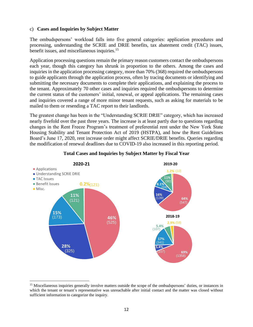#### c) **Cases and Inquiries by Subject Matter**

The ombudspersons' workload falls into five general categories: application procedures and processing, understanding the SCRIE and DRIE benefits, tax abatement credit (TAC) issues, benefit issues, and miscellaneous inquiries.<sup>15</sup>

Application processing questions remain the primary reason customers contact the ombudspersons each year, though this category has shrunk in proportion to the others. Among the cases and inquiries in the application processing category, more than 70% (368) required the ombudspersons to guide applicants through the application process, often by tracing documents or identifying and submitting the necessary documents to complete their applications, and explaining the process to the tenant. Approximately 70 other cases and inquiries required the ombudspersons to determine the current status of the customers' initial, renewal, or appeal applications. The remaining cases and inquiries covered a range of more minor tenant requests, such as asking for materials to be mailed to them or resending a TAC report to their landlords.

The greatest change has been in the "Understanding SCRIE DRIE" category, which has increased nearly fivefold over the past three years. The increase is at least partly due to questions regarding changes in the Rent Freeze Program's treatment of preferential rent under the New York State Housing Stability and Tenant Protection Act of 2019 (HSTPA), and how the Rent Guidelines Board's June 17, 2020, rent increase order might affect SCRIE/DRIE benefits. Queries regarding the modification of renewal deadlines due to COVID-19 also increased in this reporting period.



# **Total Cases and Inquiries by Subject Matter by Fiscal Year**

<sup>&</sup>lt;sup>15</sup> Miscellaneous inquiries generally involve matters outside the scope of the ombudspersons' duties, or instances in which the tenant or tenant's representative was unreachable after initial contact and the matter was closed without sufficient information to categorize the inquiry.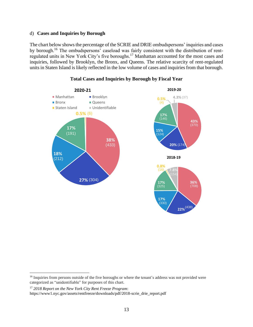# d) **Cases and Inquiries by Borough**

The chart below shows the percentage of the SCRIE and DRIE ombudspersons' inquiries and cases by borough.<sup>16</sup> The ombudspersons' caseload was fairly consistent with the distribution of rentregulated units in New York City's five boroughs.<sup>17</sup> Manhattan accounted for the most cases and inquiries, followed by Brooklyn, the Bronx, and Queens. The relative scarcity of rent-regulated units in Staten Island is likely reflected in the low volume of cases and inquiries from that borough.



# **Total Cases and Inquiries by Borough by Fiscal Year**

<sup>&</sup>lt;sup>16</sup> Inquiries from persons outside of the five boroughs or where the tenant's address was not provided were categorized as "unidentifiable" for purposes of this chart.

<sup>17</sup> *2018 Report on the New York City Rent Freeze Program*:

https://www1.nyc.gov/assets/rentfreeze/downloads/pdf/2018-scrie\_drie\_report.pdf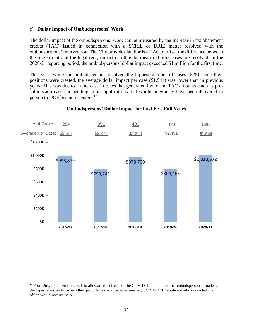### e) **Dollar Impact of Ombudspersons' Work**

The dollar impact of the ombudspersons' work can be measured by the increase in tax abatement credits (TAC) issued in connection with a SCRIE or DRIE matter resolved with the ombudspersons' intervention. The City provides landlords a TAC to offset the difference between the frozen rent and the legal rent; impact can thus be measured after cases are resolved. In the 2020-21 reporting period, the ombudspersons' dollar impact exceeded \$1 million for the first time.

This year, while the ombudspersons resolved the highest number of cases (525) since their positions were created, the average dollar impact per case (\$1,944) was lower than in previous years. This was due to an increase in cases that generated low or no TAC amounts, such as presubmission cases or pending initial applications that would previously have been delivered in person to DOF business centers.<sup>18</sup>



#### **Ombudspersons' Dollar Impact for Last Five Full Years**

<sup>&</sup>lt;sup>18</sup> From July to December 2020, to alleviate the effects of the COVID-19 pandemic, the ombudspersons broadened the types of issues for which they provided assistance, to ensure any SCRIE/DRIE applicant who contacted the office would receive help.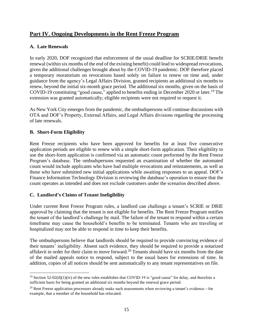# **Part IV. Ongoing Developments in the Rent Freeze Program**

# **A. Late Renewals**

In early 2020, DOF recognized that enforcement of the usual deadline for SCRIE/DRIE benefit renewal (within six months of the end of the existing benefit) could lead to widespread revocations, given the additional challenges brought about by the COVID-19 pandemic. DOF therefore placed a temporary moratorium on revocations based solely on failure to renew on time and, under guidance from the agency's Legal Affairs Division, granted recipients an additional six months to renew, beyond the initial six-month grace period. The additional six months, given on the basis of COVID-19 constituting "good cause," applied to benefits ending in December 2020 or later.<sup>19</sup> The extension was granted automatically; eligible recipients were not required to request it.

As New York City emerges from the pandemic, the ombudspersons will continue discussions with OTA and DOF's Property, External Affairs, and Legal Affairs divisions regarding the processing of late renewals.

# **B. Short-Form Eligibility**

Rent Freeze recipients who have been approved for benefits for at least five consecutive application periods are eligible to renew with a simple short-form application. Their eligibility to use the short-form application is confirmed via an automatic count performed by the Rent Freeze Program's database. The ombudspersons requested an examination of whether the automated count would include applicants who have had multiple revocations and reinstatements, as well as those who have submitted new initial applications while awaiting responses to an appeal. DOF's Finance Information Technology Division is reviewing the database's operation to ensure that the count operates as intended and does not exclude customers under the scenarios described above.

# **C. Landlord's Claims of Tenant Ineligibility**

Under current Rent Freeze Program rules, a landlord can challenge a tenant's SCRIE or DRIE approval by claiming that the tenant is not eligible for benefits. The Rent Freeze Program notifies the tenant of the landlord's challenge by mail. The failure of the tenant to respond within a certain timeframe may cause the household's benefits to be terminated. Tenants who are traveling or hospitalized may not be able to respond in time to keep their benefits.

The ombudspersons believe that landlords should be required to provide convincing evidence of their tenants' ineligibility. Absent such evidence, they should be required to provide a notarized affidavit in order for their claim to move forward.<sup>20</sup> Tenants should have six months from the date of the mailed appeals notice to respond, subject to the usual bases for extensions of time. In addition, copies of all notices should be sent automatically to any tenant representatives on file.

<sup>&</sup>lt;sup>19</sup> Section 52-02(d)(1)(iv) of the new rules establishes that COVID-19 is "good cause" for delay, and therefore a sufficient basis for being granted an additional six months beyond the renewal grace period.

<sup>&</sup>lt;sup>20</sup> Rent Freeze application processors already make such assessments when reviewing a tenant's evidence—for example, that a member of the household has relocated.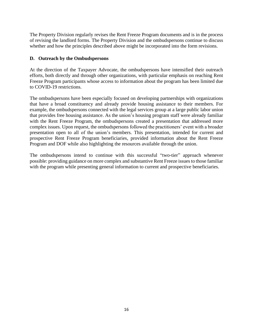The Property Division regularly revises the Rent Freeze Program documents and is in the process of revising the landlord forms. The Property Division and the ombudspersons continue to discuss whether and how the principles described above might be incorporated into the form revisions.

# **D. Outreach by the Ombudspersons**

At the direction of the Taxpayer Advocate, the ombudspersons have intensified their outreach efforts, both directly and through other organizations, with particular emphasis on reaching Rent Freeze Program participants whose access to information about the program has been limited due to COVID-19 restrictions.

The ombudspersons have been especially focused on developing partnerships with organizations that have a broad constituency and already provide housing assistance to their members. For example, the ombudspersons connected with the legal services group at a large public labor union that provides free housing assistance. As the union's housing program staff were already familiar with the Rent Freeze Program, the ombudspersons created a presentation that addressed more complex issues. Upon request, the ombudspersons followed the practitioners' event with a broader presentation open to all of the union's members. This presentation, intended for current and prospective Rent Freeze Program beneficiaries, provided information about the Rent Freeze Program and DOF while also highlighting the resources available through the union.

The ombudspersons intend to continue with this successful "two-tier" approach whenever possible: providing guidance on more complex and substantive Rent Freeze issues to those familiar with the program while presenting general information to current and prospective beneficiaries.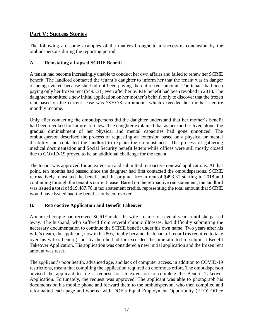# **Part V: Success Stories**

The following are some examples of the matters brought to a successful conclusion by the ombudspersons during the reporting period.

# **A. Reinstating a Lapsed SCRIE Benefit**

A tenant had become increasingly unable to conduct her own affairs and failed to renew her SCRIE benefit. The landlord contacted the tenant's daughter to inform her that the tenant was in danger of being evicted because she had not been paying the entire rent amount. The tenant had been paying only her frozen rent (\$493.31) even after her SCRIE benefit had been revoked in 2018. The daughter submitted a new initial application on her mother's behalf, only to discover that the frozen rent based on the current lease was \$870.78, an amount which exceeded her mother's entire monthly income.

Only after contacting the ombudspersons did the daughter understand that her mother's benefit had been revoked for failure to renew. The daughter explained that as her mother lived alone, the gradual diminishment of her physical and mental capacities had gone unnoticed. The ombudsperson described the process of requesting an extension based on a physical or mental disability and contacted the landlord to explain the circumstances. The process of gathering medical documentation and Social Security benefit letters while offices were still mostly closed due to COVID-19 proved to be an additional challenge for the tenant.

The tenant was approved for an extension and submitted retroactive renewal applications. At that point, ten months had passed since the daughter had first contacted the ombudspersons. SCRIE retroactively reinstated the benefit and the original frozen rent of \$493.31 starting in 2018 and continuing through the tenant's current lease. Based on the retroactive reinstatement, the landlord was issued a total of \$19,487.76 in tax abatement credits, representing the total amount that SCRIE would have issued had the benefit not been revoked.

# **B. Retroactive Application and Benefit Takeover**

A married couple had received SCRIE under the wife's name for several years, until she passed away. The husband, who suffered from several chronic illnesses, had difficulty submitting the necessary documentation to continue the SCRIE benefit under his own name. Two years after his wife's death, the applicant, now in his 80s, finally became the tenant of record (as required to take over his wife's benefit), but by then he had far exceeded the time allotted to submit a Benefit Takeover Application. His application was considered a new initial application and the frozen rent amount was reset.

The applicant's poor health, advanced age, and lack of computer access, in addition to COVID-19 restrictions, meant that compiling the application required an enormous effort. The ombudsperson advised the applicant to file a request for an extension to complete the Benefit Takeover Application. Fortunately, the request was approved. The applicant was able to photograph his documents on his mobile phone and forward them to the ombudsperson, who then compiled and reformatted each page and worked with DOF's Equal Employment Opportunity (EEO) Office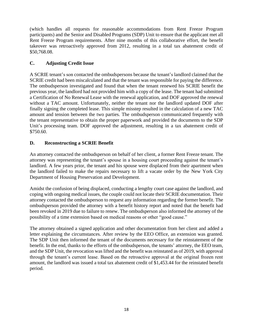(which handles all requests for reasonable accommodations from Rent Freeze Program participants) and the Senior and Disabled Programs (SDP) Unit to ensure that the applicant met all Rent Freeze Program requirements. After nine months of this collaborative effort, the benefit takeover was retroactively approved from 2012, resulting in a total tax abatement credit of \$50,768.08.

# **C. Adjusting Credit Issue**

A SCRIE tenant's son contacted the ombudspersons because the tenant's landlord claimed that the SCRIE credit had been miscalculated and that the tenant was responsible for paying the difference. The ombudsperson investigated and found that when the tenant renewed his SCRIE benefit the previous year, the landlord had not provided him with a copy of the lease. The tenant had submitted a Certification of No Renewal Lease with the renewal application, and DOF approved the renewal without a TAC amount. Unfortunately, neither the tenant nor the landlord updated DOF after finally signing the completed lease. This simple misstep resulted in the calculation of a new TAC amount and tension between the two parties. The ombudsperson communicated frequently with the tenant representative to obtain the proper paperwork and provided the documents to the SDP Unit's processing team. DOF approved the adjustment, resulting in a tax abatement credit of \$750.60.

# **D. Reconstructing a SCRIE Benefit**

An attorney contacted the ombudsperson on behalf of her client, a former Rent Freeze tenant. The attorney was representing the tenant's spouse in a housing court proceeding against the tenant's landlord. A few years prior, the tenant and his spouse were displaced from their apartment when the landlord failed to make the repairs necessary to lift a vacate order by the New York City Department of Housing Preservation and Development.

Amidst the confusion of being displaced, conducting a lengthy court case against the landlord, and coping with ongoing medical issues, the couple could not locate their SCRIE documentation. Their attorney contacted the ombudsperson to request any information regarding the former benefit. The ombudsperson provided the attorney with a benefit history report and noted that the benefit had been revoked in 2019 due to failure to renew. The ombudsperson also informed the attorney of the possibility of a time extension based on medical reasons or other "good cause."

The attorney obtained a signed application and other documentation from her client and added a letter explaining the circumstances. After review by the EEO Office, an extension was granted. The SDP Unit then informed the tenant of the documents necessary for the reinstatement of the benefit. In the end, thanks to the efforts of the ombudsperson, the tenants' attorney, the EEO team, and the SDP Unit, the revocation was lifted and the benefit was reinstated as of 2019, with approval through the tenant's current lease. Based on the retroactive approval at the original frozen rent amount, the landlord was issued a total tax abatement credit of \$1,453.44 for the reinstated benefit period.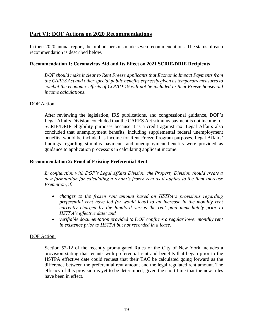# **Part VI: DOF Actions on 2020 Recommendations**

In their 2020 annual report, the ombudspersons made seven recommendations. The status of each recommendation is described below.

# **Recommendation 1: Coronavirus Aid and Its Effect on 2021 SCRIE/DRIE Recipients**

*DOF should make it clear to Rent Freeze applicants that Economic Impact Payments from the CARES Act and other special public benefits expressly given as temporary measures to combat the economic effects of COVID-19 will not be included in Rent Freeze household income calculations.*

# DOF Action:

After reviewing the legislation, IRS publications, and congressional guidance, DOF's Legal Affairs Division concluded that the CARES Act stimulus payment is not income for SCRIE/DRIE eligibility purposes because it is a credit against tax. Legal Affairs also concluded that unemployment benefits, including supplemental federal unemployment benefits, would be included as income for Rent Freeze Program purposes. Legal Affairs' findings regarding stimulus payments and unemployment benefits were provided as guidance to application processors in calculating applicant income.

# **Recommendation 2: Proof of Existing Preferential Rent**

*In conjunction with DOF's Legal Affairs Division, the Property Division should create a new formulation for calculating a tenant's frozen rent as it applies to the Rent Increase Exemption, if:*

- *changes to the frozen rent amount based on HSTPA's provisions regarding preferential rent have led (or would lead) to an increase in the monthly rent currently charged by the landlord versus the rent paid immediately prior to HSTPA's effective date; and*
- *verifiable documentation provided to DOF confirms a regular lower monthly rent in existence prior to HSTPA but not recorded in a lease.*

# DOF Action:

Section 52-12 of the recently promulgated Rules of the City of New York includes a provision stating that tenants with preferential rent and benefits that began prior to the HSTPA effective date could request that their TAC be calculated going forward as the difference between the preferential rent amount and the legal regulated rent amount. The efficacy of this provision is yet to be determined, given the short time that the new rules have been in effect.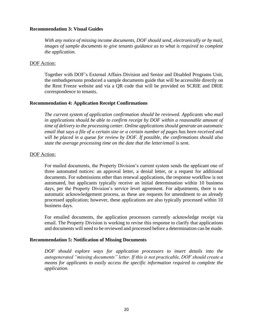### **Recommendation 3: Visual Guides**

*With any notice of missing income documents, DOF should send, electronically or by mail, images of sample documents to give tenants guidance as to what is required to complete the application.*

#### DOF Action:

Together with DOF's External Affairs Division and Senior and Disabled Programs Unit, the ombudspersons produced a sample documents guide that will be accessible directly on the Rent Freeze website and via a QR code that will be provided on SCRIE and DRIE correspondence to tenants.

#### **Recommendation 4: Application Receipt Confirmations**

*The current system of application confirmation should be reviewed. Applicants who mail in applications should be able to confirm receipt by DOF within a reasonable amount of time of delivery to the processing center. Online applications should generate an automatic email that says a file of a certain size or a certain number of pages has been received and will be placed in a queue for review by DOF. If possible, the confirmations should also state the average processing time on the date that the letter/email is sent.*

#### DOF Action:

For mailed documents, the Property Division's current system sends the applicant one of three automated notices: an approval letter, a denial letter, or a request for additional documents. For submissions other than renewal applications, the response workflow is not automated, but applicants typically receive an initial determination within 10 business days, per the Property Division's service level agreement. For adjustments, there is no automatic acknowledgement process, as these are requests for amendment to an already processed application; however, these applications are also typically processed within 10 business days.

For emailed documents, the application processors currently acknowledge receipt via email. The Property Division is working to revise this response to clarify that applications and documents will need to be reviewed and processed before a determination can be made.

#### **Recommendation 5: Notification of Missing Documents**

*DOF should explore ways for application processors to insert details into the autogenerated "missing documents" letter. If this is not practicable, DOF should create a means for applicants to easily access the specific information required to complete the application.*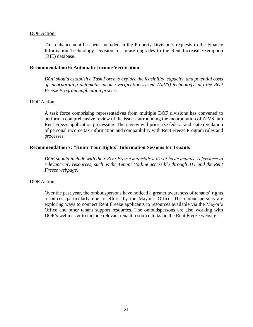### DOF Action:

This enhancement has been included in the Property Division's requests to the Finance Information Technology Division for future upgrades to the Rent Increase Exemption (RIE) database.

#### **Recommendation 6: Automatic Income Verification**

*DOF should establish a Task Force to explore the feasibility, capacity, and potential costs of incorporating automatic income verification system (AIVS) technology into the Rent Freeze Program application process.*

#### DOF Action:

A task force comprising representatives from multiple DOF divisions has convened to perform a comprehensive review of the issues surrounding the incorporation of AIVS into Rent Freeze application processing. The review will prioritize federal and state regulation of personal income tax information and compatibility with Rent Freeze Program rules and processes.

#### **Recommendation 7: "Know Your Rights" Information Sessions for Tenants**

*DOF should include with their Rent Freeze materials a list of basic tenants' references to relevant City resources, such as the Tenant Hotline accessible through 311 and the Rent Freeze webpage.*

#### DOF Action:

Over the past year, the ombudspersons have noticed a greater awareness of tenants' rights resources, particularly due to efforts by the Mayor's Office. The ombudspersons are exploring ways to connect Rent Freeze applicants to resources available via the Mayor's Office and other tenant support resources. The ombudspersons are also working with DOF's webmaster to include relevant tenant resource links on the Rent Freeze website.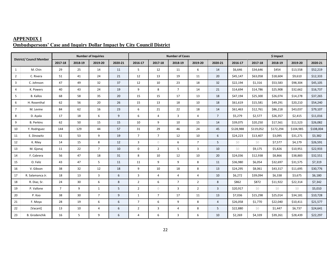| <b>APPENDIX I</b> |  |                                                                               |
|-------------------|--|-------------------------------------------------------------------------------|
|                   |  | <b>Ombudspersons' Case and Inquiry Dollar Impact by City Council District</b> |

| <b>District/ Council Member</b> |                      |                |         | <b>Number of Inquiries</b> |         |                |                | <b>Number of Cases</b> |                |                | \$ Impact |           |           |           |           |  |
|---------------------------------|----------------------|----------------|---------|----------------------------|---------|----------------|----------------|------------------------|----------------|----------------|-----------|-----------|-----------|-----------|-----------|--|
|                                 |                      | 2017-18        | 2018-19 | 2019-20                    | 2020-21 | 2016-17        | 2017-18        | 2018-19                | 2019-20        | 2020-21        | 2016-17   | 2017-18   | 2018-19   | 2019-20   | 2020-21   |  |
| 1                               | M. Chin              | 29             | 25      | 14                         | 11      | 5              | 12             | 11                     | 6              | 14             | \$6,646   | \$34,646  | \$454     | \$13,558  | \$52,219  |  |
| $\overline{2}$                  | C. Rivera            | 51             | 41      | 24                         | 21      | 12             | 13             | 19                     | 11             | 20             | \$45,147  | \$63,058  | \$18,604  | \$9,610   | \$12,333  |  |
| 3                               | C. Johnson           | 47             | 49      | 32                         | 37      | 12             | 10             | 23                     | 18             | 32             | \$22,194  | \$1,316   | \$53,583  | \$98,304  | \$45,105  |  |
| 4                               | K. Powers            | 40             | 43      | 24                         | 19      | 9              | 8              | $\overline{7}$         | 14             | 21             | \$14,694  | \$14,786  | \$25,908  | \$32,662  | \$16,737  |  |
| 5                               | <b>B.</b> Kallos     | 68             | 58      | 35                         | 20      | 15             | 15             | 17                     | 13             | 18             | \$47,194  | \$25,300  | \$26,074  | \$14,278  | \$37,265  |  |
| 6                               | H. Rosenthal         | 62             | 56      | 20                         | 26      | 15             | 13             | 18                     | 10             | 18             | \$61,619  | \$15,581  | \$49,291  | \$20,210  | \$54,240  |  |
| $\overline{7}$                  | M. Levine            | 84             | 62      | 16                         | 23      | 6              | 21             | 22                     | 18             | 14             | \$61,463  | \$12,761  | \$86,218  | \$43,037  | \$79,107  |  |
| 8                               | D. Ayala             | 17             | 18      | 6                          | 9       | 6              | $\overline{4}$ | 3                      | 4              | 7 <sup>1</sup> | \$5,279   | \$2,577   | \$26,357  | \$2,415   | \$11,016  |  |
| 9                               | <b>B.</b> Perkins    | 62             | 50      | 15                         | 15      | 10             | 9              | 10                     | 15             | 14             | \$39,075  | \$20,250  | \$17,561  | \$11,523  | \$26,082  |  |
| 10                              | Y. Rodriguez         | 144            | 129     | 44                         | 57      | 31             | 29             | 46                     | 24             | 45             | \$128,988 | \$119,052 | \$172,294 | \$104,985 | \$108,004 |  |
| 11                              | E. Dinowitz          | 51             | 53      | 9                          | 19      | $\overline{7}$ | $7^{\circ}$    | 12                     | 10             | 6              | \$24,223  | \$13,407  | \$3,095   | \$31,271  | \$3,382   |  |
| 12                              | K. Riley             | 14             | 15      | 8                          | 12      | $\overline{3}$ | $\circ$        | 6                      | $\overline{7}$ | 5              | \$0       | \$0       | \$7,577   | \$4,179   | \$26,591  |  |
| 13                              | M. Gjonaj            | 11             | 22      | $7^{\circ}$                | 10      | $\mathbf 0$    | $\overline{2}$ | 5                      | 3              | 10             | Ś0        | \$9,175   | \$5,826   | \$10,951  | \$22,933  |  |
| 14                              | F. Cabrera           | 56             | 47      | 18                         | 31      | 8              | 10             | 12                     | 10             | 20             | \$24,036  | \$12,938  | \$8,866   | \$38,883  | \$32,551  |  |
| 15                              | O. Feliz             | 43             | 47      | 5                          | 11      | 11             | 9              | 9                      | 8              | 11             | \$36,980  | \$6,054   | \$32,697  | \$31,575  | \$7,319   |  |
| 16                              | V. Gibson            | 38             | 32      | 12                         | 18      | 9              | 10             | 18                     | 8              | 13             | \$24,295  | \$8,061   | \$43,317  | \$11,695  | \$30,776  |  |
| 17                              | R. Salamanca Jr.     | 18             | 13      | 3                          | 6       | $\overline{3}$ | $\overline{4}$ | 4                      | 4              | 10             | \$6,272   | \$39,094  | \$6,338   | \$3,675   | \$6,180   |  |
| 18                              | R. Diaz, Sr.         | 24             | 30      | 6                          | 8       | $\overline{2}$ | 6              | $\overline{7}$         | $\overline{2}$ | 8              | \$862     | \$872     | \$11,922  | \$22,314  | \$7,342   |  |
| 19                              | P. Vallone           | $\overline{7}$ | 9       | 1                          | 5       | $\overline{2}$ | $\circ$        | 3                      | $\overline{2}$ | $\overline{3}$ | \$20,917  | \$0       | \$0       | \$0       | \$5,010   |  |
| 20                              | P. Koo               | 38             | 30      | $\overline{7}$             | 9       | $\mathbf{1}$   | $7^{\circ}$    | 17                     | 11             | 13             | \$7,036   | \$15,298  | \$25,014  | \$34,181  | \$10,728  |  |
| 21                              | F. Moya              | 28             | 19      | 6                          | 6       | $\overline{7}$ | 6              | 9                      | 8              | $\overline{4}$ | \$26,058  | \$1,770   | \$22,040  | \$10,411  | \$21,577  |  |
| 22                              | [Vacant]             | 13             | 10      | 4                          | 6       | $\overline{2}$ | 3              | 4                      | 8              | 5              | \$22,880  | \$0       | \$1,447   | \$6,737   | \$24,641  |  |
| 23                              | <b>B.</b> Grodenchik | 16             | 5       | 9                          | 6       | $\overline{4}$ | 6              | 3                      | 6              | 10             | \$2,269   | \$4,339   | \$39,261  | \$28,439  | \$22,297  |  |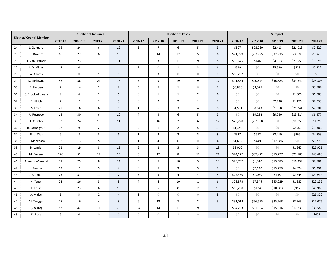|    |                                 |                |                | <b>Number of Inquiries</b> |                  |                     |                         | <b>Number of Cases</b> |                     |                  | \$ Impact |          |          |          |          |
|----|---------------------------------|----------------|----------------|----------------------------|------------------|---------------------|-------------------------|------------------------|---------------------|------------------|-----------|----------|----------|----------|----------|
|    | <b>District/ Council Member</b> | 2017-18        | 2018-19        | 2019-20                    | 2020-21          | 2016-17             | 2017-18                 | 2018-19                | 2019-20             | 2020-21          | 2016-17   | 2017-18  | 2018-19  | 2019-20  | 2020-21  |
| 24 | J. Gennaro                      | 25             | 24             | 6                          | 12               | $\overline{3}$      | $\overline{7}$          | 6                      | 5                   | $\overline{3}$   | \$507     | \$28,230 | \$2,413  | \$21,018 | \$2,629  |
| 25 | D. Dromm                        | 60             | 27             | 6                          | 10               | $\boldsymbol{6}$    | 14                      | 12                     | $\sqrt{5}$          | $\boldsymbol{6}$ | \$21,799  | \$37,295 | \$32,935 | \$3,678  | \$13,675 |
| 26 | J. Van Bramer                   | 35             | 23             | $\overline{7}$             | 11               | 8                   | $\overline{\mathbf{3}}$ | 11                     | 9                   | 8                | \$16,645  | \$146    | \$4,163  | \$21,956 | \$13,298 |
| 27 | I. D. Miller                    | 13             | $\overline{4}$ | $\mathbf{1}$               | $\overline{4}$   | $\overline{2}$      | $\circlearrowright$     | $\mathbf{1}$           | $\overline{3}$      | 6                | \$519     | \$0      | \$5,539  | \$528    | \$7,322  |
| 28 | A. Adams                        | 3              | $\bigcirc$     | $\mathbf{1}$               | $\mathbf{1}$     | 3                   | 3                       | $\circlearrowright$    | $\bigcirc$          | $\circledcirc$   | \$10,267  | \$0      | \$0      | \$0      | \$0      |
| 29 | K. Koslowitz                    | 56             | 56             | 21                         | 18               | 5                   | 9                       | 19                     | 9                   | 17               | \$11,834  | \$20,874 | \$46,583 | \$39,642 | \$28,303 |
| 30 | R. Holden                       | $\overline{7}$ | 14             | $2^{\circ}$                | $\overline{2}$   | $\overline{3}$      | 5                       | $\mathbf{1}$           | $\circlearrowright$ | $\overline{2}$   | \$6,886   | \$3,525  | \$0      | \$0      | \$3,584  |
| 31 | S. Brooks-Powers                | 9              | $\overline{4}$ | $\overline{2}$             | $\boldsymbol{6}$ | $\circlearrowright$ | $\mathbf{1}$            | $\mathbf{1}$           | $\overline{2}$      | 6                | \$0       | \$0      | \$0      | \$1,300  | \$6,088  |
| 32 | E. Ulrich                       | $\overline{7}$ | 12             | $\mathbf{1}$               | 5                | $\circlearrowright$ | $\overline{2}$          | $\overline{2}$         | $\mathbf{1}$        | $\overline{2}$   | \$0       | \$0      | \$2,730  | \$1,170  | \$2,038  |
| 33 | S. Levin                        | 27             | 16             | 6                          | 6                | $\mathbf{1}$        | 6                       | $\overline{3}$         | $\overline{4}$      | 8                | \$1,591   | \$8,543  | \$1,068  | \$21,244 | \$7,801  |
| 34 | A. Reynoso                      | 13             | 30             | 6                          | 10               | 4                   | $\overline{3}$          | 6                      | 5                   | 9                | \$0       | \$9,262  | \$9,980  | \$13,614 | \$6,377  |
| 35 | L. Cumbo                        | 32             | 24             | 15                         | 11               | 9                   | 16                      | $\overline{2}$         | 6                   | 12               | \$25,720  | \$37,308 | \$0      | \$10,859 | \$11,259 |
| 36 | R. Cornegy Jr.                  | 17             | 9              | $\overline{2}$             | $\overline{3}$   | 5                   | $\mathbf{1}$            | $\overline{2}$         | 5                   | 10               | \$1,340   | \$0      | Ś0       | \$2,763  | \$18,062 |
| 37 | D.V.Diaz                        | 6              | 13             | $\overline{3}$             | 6                | $\mathbf{1}$        | 3                       | $\overline{3}$         | $\mathbf{3}$        | 9                | \$327     | \$512    | \$2,419  | \$965    | \$4,853  |
| 38 | C. Menchaca                     | 18             | 13             | 5 <sup>5</sup>             | $\overline{3}$   | $\mathbf{1}$        | $\overline{4}$          | 6                      | $\circlearrowright$ | $\overline{4}$   | \$1,692   | \$449    | \$12,686 | \$0      | \$1,773  |
| 39 | <b>B.</b> Lander                | 21             | 19             | 8                          | 12               | 5                   | $2^{\circ}$             | $\overline{3}$         | $\mathbf{3}$        | 18               | \$3,010   | \$0      | \$0      | \$1,247  | \$26,921 |
| 40 | M. Eugene                       | 126            | 52             | 17                         | 25               | 6                   | 17                      | 8                      | 12                  | 24               | \$24,177  | \$87,422 | \$19,297 | \$27,185 | \$43,688 |
| 41 | A. Ampry-Samuel                 | 31             | 25             | 8                          | 14               | 5                   | 5                       | 10                     | 5                   | 10               | \$26,787  | \$1,310  | \$19,685 | \$16,339 | \$2,581  |
| 42 | I. Barron                       | 13             | 12             | 5                          | $\overline{4}$   | $\bigcirc$          | 5                       | $\mathsf 3$            | $\mathbf{3}$        | $\overline{2}$   | \$0       | \$7,140  | \$13,259 | \$4,824  | \$1,291  |
| 43 | J. Brannan                      | 23             | 31             | 10                         | $\overline{7}$   | 5                   | 3                       | $\overline{4}$         | 4                   | 5                | \$27,430  | \$1,030  | \$448    | \$2,345  | \$3,640  |
| 44 | K. Yeger                        | 22             | 26             | $\overline{3}$             | 8                | 4                   | $\overline{4}$          | 10                     | $\mathbf{1}$        | 6                | \$28,873  | \$7,345  | \$45,029 | \$1,382  | \$22,255 |
| 45 | F. Louis                        | 35             | 23             | 6                          | 18               | $\overline{3}$      | 5                       | 8                      | $\overline{2}$      | 15               | \$13,290  | \$134    | \$10,383 | \$912    | \$49,989 |
| 46 | A. Maisel                       | $\mathbf{1}$   | $\bigcirc$     | $\overline{2}$             | $\overline{4}$   | $\mathbf{1}$        | $\circ$                 | $\circlearrowright$    | $\circlearrowright$ | 5                | \$0       | \$0      | \$0      | \$0      | \$21,329 |
| 47 | M. Treyger                      | 27             | 16             | $\overline{4}$             | 8                | 6                   | 13                      | $\overline{7}$         | $\overline{2}$      | $\overline{3}$   | \$31,019  | \$56,575 | \$45,768 | \$8,763  | \$17,075 |
| 48 | [Vacant]                        | 53             | 42             | 11                         | 20               | 14                  | 14                      | 11                     | 9                   | 9                | \$94,253  | \$51,184 | \$15,814 | \$17,836 | \$36,580 |
| 49 | D. Rose                         | 6              | $\overline{4}$ | $\circ$                    | $\cup$           | $\circ$             | $\circ$                 | $\mathbf{1}$           | $\circ$             | $\mathbf{1}$     | \$0       | \$0      | \$0      | \$0      | \$407    |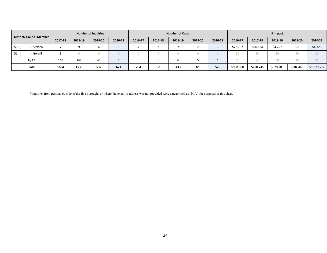| District/ Council Member |            |         |         | <b>Number of Inquiries</b> |         |         |         | <b>Number of Cases</b> |         |         | \$ Impact |           |           |           |             |  |
|--------------------------|------------|---------|---------|----------------------------|---------|---------|---------|------------------------|---------|---------|-----------|-----------|-----------|-----------|-------------|--|
|                          |            | 2017-18 | 2018-19 | 2019-20                    | 2020-21 | 2016-17 | 2017-18 | 2018-19                | 2019-20 | 2020-21 | 2016-17   | 2017-18   | 2018-19   | 2019-20   | 2020-21     |  |
| 50                       | S. Matteo  |         | Ω       |                            |         |         |         |                        |         |         | \$22,787  | \$20,124  | \$4,757   | Ś0        | \$4,320     |  |
| -51                      | J. Borelli |         |         |                            |         |         |         |                        |         |         | Ś0        | ŚΛ        | ŚΩ        | ćη        |             |  |
|                          | $N/A^*$    | 149     | 147     | 45                         |         |         |         |                        |         |         | Ś0        | ŚΛ        | ŚΩ        | ćη        |             |  |
|                          | Total      | 1804    | 1538    | 532                        | 621     | 284     | 351     | 433                    | 323     | 525     | \$998,880 | \$798,745 | \$978,700 | \$804,463 | \$1,020,572 |  |

\*Inquiries from persons outside of the five boroughs or where the tenant's address was not provided were categorized as "N/A" for purposes of this chart.